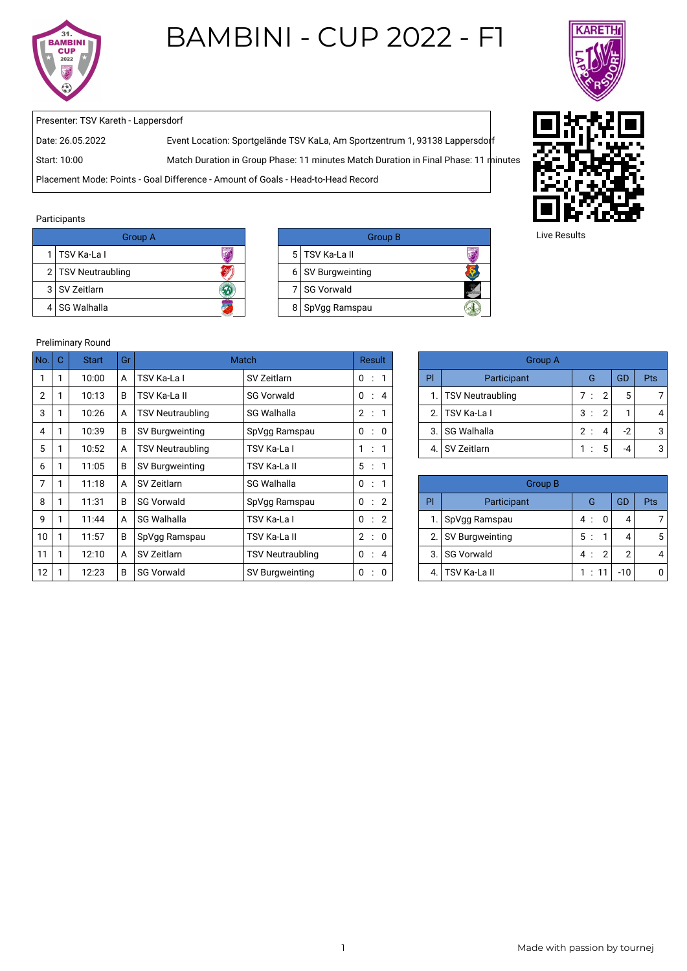

## BAMBINI - CUP 2022 - F1



Presenter: TSV Kareth - Lappersdorf

Date: 26.05.2022 Event Location: Sportgelände TSV KaLa, Am Sportzentrum 1, 93138 Lappersdorf

Start: 10:00 Match Duration in Group Phase: 11 minutes Match Duration in Final Phase: 11 minutes

Placement Mode: Points - Goal Difference - Amount of Goals - Head-to-Head Record

## Participants

| Group A              |  | <b>Group B</b>    |
|----------------------|--|-------------------|
| 1   TSV Ka-La I      |  | 5   TSV Ka-La II  |
| 2   TSV Neutraubling |  | 6 SV Burgweinting |
| 3 SV Zeitlarn        |  | 7 I SG Vorwald    |
| 4 I SG Walhalla      |  | 8 SpVgg Ramspau   |

| Group B           |  |
|-------------------|--|
| 5 TSV Ka-La II    |  |
| 6 SV Burgweinting |  |
| 7 SG Vorwald      |  |
| 8   SpVgg Ramspau |  |



Live Results

## Preliminary Round

| No.            | $\mathbf C$  | <b>Start</b> | Gr |                         | <b>Match</b>            | Result                    |                | <b>Group A</b>                                   |                         |                      |      |            |
|----------------|--------------|--------------|----|-------------------------|-------------------------|---------------------------|----------------|--------------------------------------------------|-------------------------|----------------------|------|------------|
|                | 1            | 10:00        | A  | TSV Ka-La I             | SV Zeitlarn             | $0$ :                     |                | PI                                               | Participant             | G                    | GD   | <b>Pts</b> |
| $\overline{2}$ | 1            | 10:13        | B  | TSV Ka-La II            | <b>SG Vorwald</b>       | 0 : 4                     |                | 1.                                               | <b>TSV Neutraubling</b> | 7:<br>$\overline{2}$ | 5    |            |
| 3              |              | 10:26        | A  | <b>TSV Neutraubling</b> | <b>SG Walhalla</b>      | 2:                        |                | $\overline{2}$                                   | TSV Ka-La I             | 3:<br>$\overline{2}$ |      |            |
| 4              | $\mathbf{1}$ | 10:39        | B  | SV Burgweinting         | SpVgg Ramspau           | 0 : 0                     |                | 3.                                               | <b>SG Walhalla</b>      | 2:<br>4              | $-2$ |            |
| 5              | $\mathbf{1}$ | 10:52        | A  | <b>TSV Neutraubling</b> | TSV Ka-La I             | 1 : 1                     |                | 4.                                               | SV Zeitlarn             | 5<br>1:              | -4   |            |
| 6              | 1            | 11:05        | B  | SV Burgweinting         | TSV Ka-La II            | 5:                        |                |                                                  |                         |                      |      |            |
| 7              | 1            | 11:18        | A  | SV Zeitlarn             | <b>SG Walhalla</b>      | 0:                        |                | <b>Group B</b>                                   |                         |                      |      |            |
| 8              | 1            | 11:31        | B  | <b>SG Vorwald</b>       | SpVgg Ramspau           | 0 : 2                     |                | PI                                               | Participant             | G                    | GD   | <b>Pts</b> |
| 9              | 1            | 11:44        | A  | <b>SG Walhalla</b>      | TSV Ka-La I             | 0<br>$\ddot{\phantom{a}}$ | $\overline{2}$ |                                                  | SpVgg Ramspau           | 0<br>4 :             | 4    |            |
| 10             | $\mathbf{1}$ | 11:57        | B  | SpVgg Ramspau           | TSV Ka-La II            | 2:0                       |                | 2.                                               | 5:<br>SV Burgweinting   |                      |      |            |
| 11             | 1            | 12:10        | A  | SV Zeitlarn             | <b>TSV Neutraubling</b> | $0$ :                     | $\overline{4}$ | $\overline{2}$<br>3.<br><b>SG Vorwald</b><br>4 : |                         |                      | 2    |            |
| 12             | $\mathbf{1}$ | 12:23        | B  | <b>SG Vorwald</b>       | SV Burgweinting         | 0 : 0                     |                | <b>TSV Ka-La II</b><br>1:11<br>$-10$<br>4.       |                         |                      |      |            |

| Group A             |     |                |    |     |  |  |
|---------------------|-----|----------------|----|-----|--|--|
| Participant         | G   |                | GD | Pts |  |  |
| 1. TSV Neutraubling | 7 : | $\overline{2}$ | 5  |     |  |  |
| 2. TSV Ka-La I      | 3:  | $2^{\circ}$    |    |     |  |  |
| 3. SG Walhalla      | 2:  | 4              | -2 | З   |  |  |
| SV Zeitlarn         |     | 5              | -⊿ | Ω   |  |  |

|    | Group B             |      |    |     |     |  |  |
|----|---------------------|------|----|-----|-----|--|--|
| Pl | Participant         | G    |    | GD  | Pts |  |  |
| 1. | SpVgg Ramspau       | 4 :  | O  |     |     |  |  |
|    | 2. SV Burgweinting  | 5:   |    |     |     |  |  |
| 3. | <b>SG Vorwald</b>   | 4 :  | -2 | 2   |     |  |  |
|    | <b>TSV Ka-La II</b> | 1:11 |    | -10 |     |  |  |